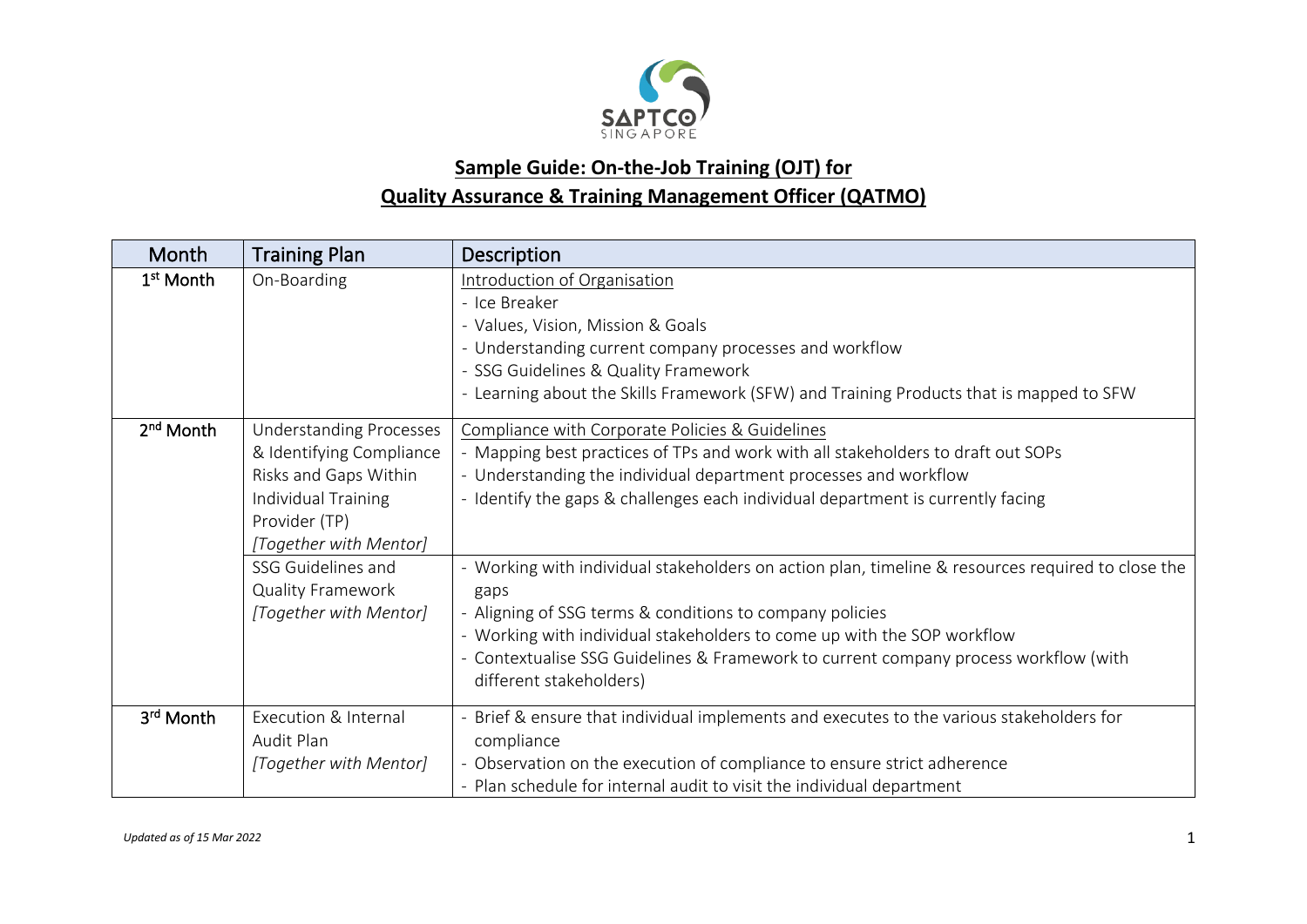

## **Sample Guide: On-the-Job Training (OJT) for Quality Assurance & Training Management Officer (QATMO)**

| Month                 | <b>Training Plan</b>                                                                                                                                                                                                              | <b>Description</b>                                                                                                                                                                                                                                                                                                                                                                                                                                                                                                                                                                                                                                                |
|-----------------------|-----------------------------------------------------------------------------------------------------------------------------------------------------------------------------------------------------------------------------------|-------------------------------------------------------------------------------------------------------------------------------------------------------------------------------------------------------------------------------------------------------------------------------------------------------------------------------------------------------------------------------------------------------------------------------------------------------------------------------------------------------------------------------------------------------------------------------------------------------------------------------------------------------------------|
| 1 <sup>st</sup> Month | On-Boarding                                                                                                                                                                                                                       | Introduction of Organisation<br>- Ice Breaker<br>- Values, Vision, Mission & Goals<br>- Understanding current company processes and workflow<br>- SSG Guidelines & Quality Framework<br>- Learning about the Skills Framework (SFW) and Training Products that is mapped to SFW                                                                                                                                                                                                                                                                                                                                                                                   |
| 2 <sup>nd</sup> Month | <b>Understanding Processes</b><br>& Identifying Compliance<br>Risks and Gaps Within<br>Individual Training<br>Provider (TP)<br>[Together with Mentor]<br>SSG Guidelines and<br><b>Quality Framework</b><br>[Together with Mentor] | Compliance with Corporate Policies & Guidelines<br>- Mapping best practices of TPs and work with all stakeholders to draft out SOPs<br>- Understanding the individual department processes and workflow<br>- Identify the gaps & challenges each individual department is currently facing<br>- Working with individual stakeholders on action plan, timeline & resources required to close the<br>gaps<br>- Aligning of SSG terms & conditions to company policies<br>- Working with individual stakeholders to come up with the SOP workflow<br>- Contextualise SSG Guidelines & Framework to current company process workflow (with<br>different stakeholders) |
| 3rd Month             | Execution & Internal<br>Audit Plan<br>[Together with Mentor]                                                                                                                                                                      | - Brief & ensure that individual implements and executes to the various stakeholders for<br>compliance<br>- Observation on the execution of compliance to ensure strict adherence<br>- Plan schedule for internal audit to visit the individual department                                                                                                                                                                                                                                                                                                                                                                                                        |